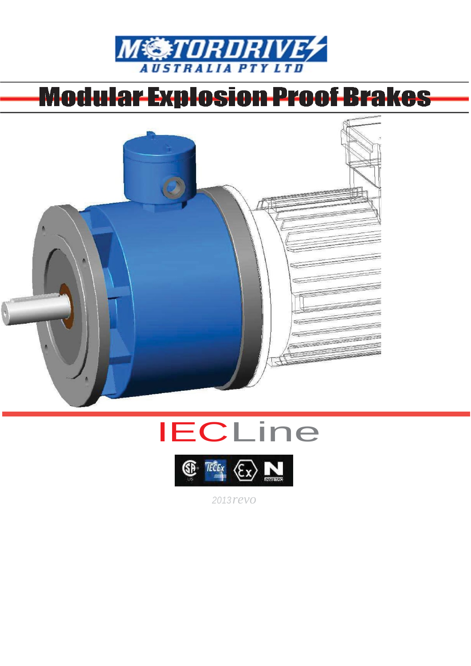

# Modular Explosion Proof Brakes







2013revo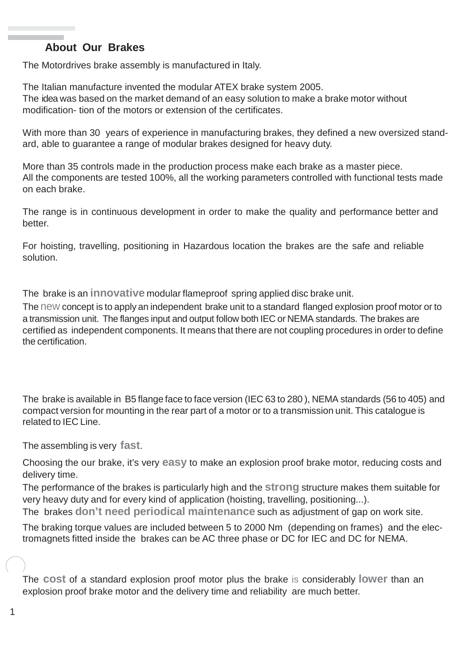## **About Our Brakes**

The Motordrives brake assembly is manufactured in Italy.

The Italian manufacture invented the modular ATEX brake system 2005. The idea was based on the market demand of an easy solution to make a brake motor without modification- tion of the motors or extension of the certificates.

With more than 30 years of experience in manufacturing brakes, they defined a new oversized standard, able to guarantee a range of modular brakes designed for heavy duty.

More than 35 controls made in the production process make each brake as a master piece. All the components are tested 100%, all the working parameters controlled with functional tests made on each brake.

The range is in continuous development in order to make the quality and performance better and better.

For hoisting, travelling, positioning in Hazardous location the brakes are the safe and reliable solution.

The brake is an **innovative** modular flameproof spring applied disc brake unit.

The new concept is to apply an independent brake unit to a standard flanged explosion proof motor or to a transmission unit. The flanges input and output follow both IEC or NEMA standards. The brakes are certified as independent components. It means that there are not coupling procedures in order to define the certification.

The brake is available in B5 flange face to face version (IEC 63 to 280 ), NEMA standards (56 to 405) and compact version for mounting in the rear part of a motor or to a transmission unit. This catalogue is related to IEC Line.

The assembling is very **fast**.

Choosing the our brake, it's very **easy** to make an explosion proof brake motor, reducing costs and delivery time.

The performance of the brakes is particularly high and the **strong** structure makes them suitable for very heavy duty and for every kind of application (hoisting, travelling, positioning...). The brakes **don't need periodical maintenance** such as adjustment of gap on work site.

The braking torque values are included between 5 to 2000 Nm (depending on frames) and the electromagnets fitted inside the brakes can be AC three phase or DC for IEC and DC for NEMA.

The **cost** of a standard explosion proof motor plus the brake is considerably **lower** than an explosion proof brake motor and the delivery time and reliability are much better.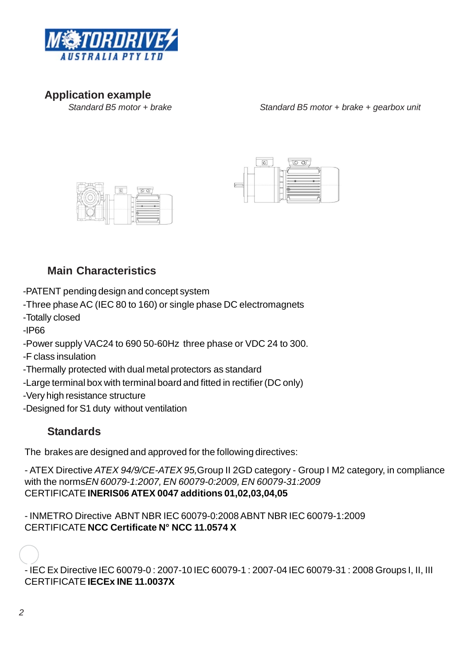

**Application example**

*Standard B5 motor* + *brake* + *gearbox unit* 





# **Main Characteristics**

-PATENT pending design and concept system

-Three phase AC (IEC 80 to 160) or single phase DC electromagnets

- -Totally closed
- -IP66

-Power supply VAC24 to 690 50-60Hz three phase or VDC 24 to 300.

-F class insulation

-Thermally protected with dual metal protectors as standard

-Large terminal box with terminal board and fitted in rectifier (DC only)

- -Very high resistance structure
- -Designed for S1 duty without ventilation

# **Standards**

The brakes are designed and approved for the following directives:

- ATEX Directive *ATEX 94/9/CE-ATEX 95,*Group II 2GD category - Group I M2 category, in compliance with the norms*EN 60079-1:2007, EN 60079-0:2009, EN 60079-31:2009* CERTIFICATE **INERIS06 ATEX 0047 additions 01,02,03,04,05**

- INMETRO Directive ABNT NBR IEC 60079-0:2008ABNT NBR IEC 60079-1:2009 CERTIFICATE **NCC Certificate N° NCC 11.0574 X**

- IEC Ex Directive IEC 60079-0 : 2007-10 IEC 60079-1 : 2007-04 IEC 60079-31 : 2008 Groups I, II, III CERTIFICATE **IECEx INE 11.0037X**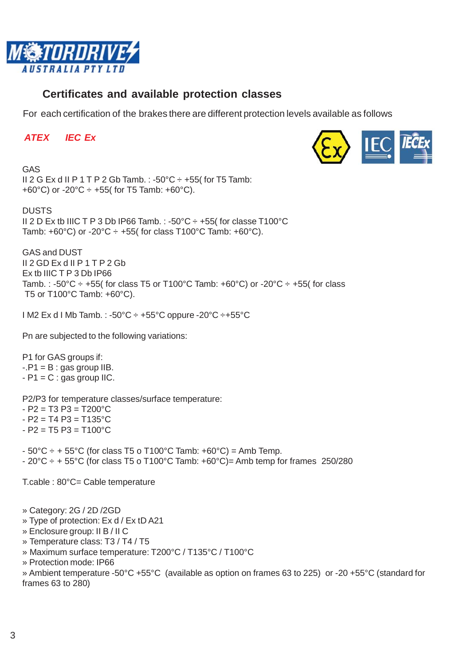

# **Certificates and available protection classes**

For each certification of the brakes there are different protection levels available as follows

#### *ATEX IEC Ex*



**GAS**  *CAS* II 2 G Ex d II P 1 T P 2 Gb Tamb.:  $-50^{\circ}$ C  $\div$   $+55$  (for T5 Tamb: +60°C) or -20°C  $\div$  +55( for T5 Tamb: +60°C).

DUSTS II 2 D Ex tb IIIC T P 3 Db IP66 Tamb. : -50°C ÷ +55( for classe T100°C Tamb: +60°C) or -20°C  $\div$  +55( for class T100°C Tamb: +60°C).

GAS and DUST II 2 GD Ex d II P 1 T P 2 Gb Ex tb IIIC T P 3 Db IP66 Tamb. : -50°C  $\div$  +55( for class T5 or T100°C Tamb: +60°C) or -20°C  $\div$  +55( for class T5 or T100°C Tamb: +60°C).

I M2 Ex d I Mb Tamb. : -50°C ÷ +55°C oppure -20°C ÷+55°C

Pn are subjected to the following variations:

P1 for GAS groups if:  $-P1 = B$ : gas group IIB.  $-P1 = C$ : gas group IIC.

P2/P3 for temperature classes/surface temperature:

- $-$  P2 = T3 P3 = T200 $^{\circ}$ C
- $-$  P2 = T4 P3 = T135 $^{\circ}$ C
- $-$  P2 = T5 P3 = T100°C
- $-50^{\circ}$ C  $\div$  + 55°C (for class T5 o T100°C Tamb: +60°C) = Amb Temp.
- $-20^{\circ}$ C  $\div$  + 55°C (for class T5 o T100°C Tamb: +60°C)= Amb temp for frames 250/280

T.cable : 80°C= Cable temperature

» Category: 2G / 2D /2GD

- » Type of protection: Ex d / Ex tD A21
- » Enclosure group: II B / II C
- » Temperature class: T3 / T4 / T5
- » Maximum surface temperature: T200°C / T135°C / T100°C
- » Protection mode: IP66

» Ambient temperature -50°C +55°C (available as option on frames 63 to 225) or -20 +55°C (standard for frames 63 to 280)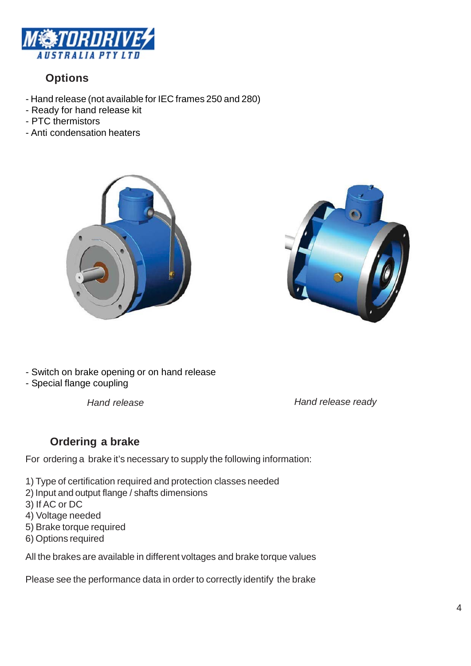

# **Options**

- Hand release (not available for IEC frames 250 and 280)
- Ready for hand release kit
- PTC thermistors
- Anti condensation heaters





- Switch on brake opening or on hand release
- Special flange coupling

*Hand release Hand release ready*

# **Ordering a brake**

For ordering a brake it's necessary to supply the following information:

- 1) Type of certification required and protection classes needed
- 2) Input and output flange / shafts dimensions
- 3) If AC or DC
- 4) Voltage needed
- 5) Brake torque required
- 6) Options required

All the brakes are available in different voltages and brake torque values

Please see the performance data in order to correctly identify the brake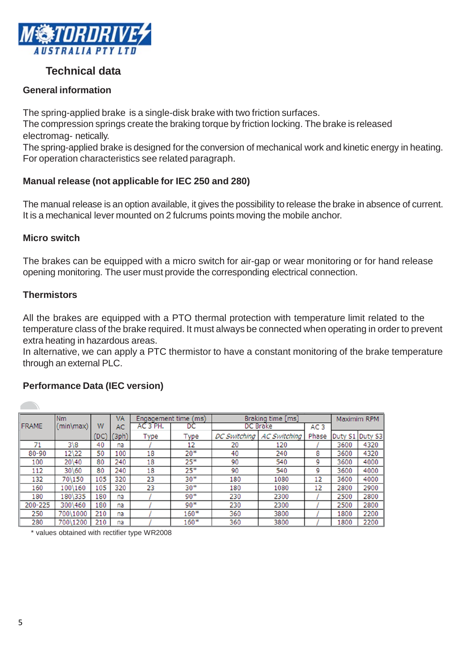

# **Technical data**

#### **General information**

The spring-applied brake is a single-disk brake with two friction surfaces.

The compression springs create the braking torque by friction locking. The brake is released electromag- netically.

The spring-applied brake is designed for the conversion of mechanical work and kinetic energy in heating. For operation characteristics see related paragraph.

### **Manual release (not applicable for IEC 250 and 280)**

The manual release is an option available, it gives the possibility to release the brake in absence of current. It is a mechanical lever mounted on 2 fulcrums points moving the mobile anchor.

#### **Micro switch**

The brakes can be equipped with a micro switch for air-gap or wear monitoring or for hand release opening monitoring. The user must provide the corresponding electrical connection.

#### **Thermistors**

All the brakes are equipped with a PTO thermal protection with temperature limit related to the temperature class of the brake required. It must always be connected when operating in order to prevent extra heating in hazardous areas.

In alternative, we can apply a PTC thermistor to have a constant monitoring of the brake temperature through an external PLC.

#### **Performance Data (IEC version)**

|              | <b>Nm</b>   |     | VA    | Engagement time (ms) |        | Braking time [ms]                          |                 | Maximim RPM |         |         |
|--------------|-------------|-----|-------|----------------------|--------|--------------------------------------------|-----------------|-------------|---------|---------|
| <b>FRAME</b> | (min\max)   | W   | AC    | AC 3 PH.             | DC     | <b>DC</b> Brake                            | AC <sub>3</sub> |             |         |         |
|              |             | DC) | (3ph) | Type                 | Type   | <b>AC Switching</b><br><b>DC Switching</b> |                 | Phase       | Duty S1 | Duty S3 |
| 71           | $3\sqrt{8}$ | 40  | na    |                      | 12     | 20                                         | 120             |             | 3600    | 4320    |
| $80 - 90$    | 12\22       | 50  | 100   | 18                   | $20*$  | 40                                         | 240             | 8           | 3600    | 4320    |
| 100          | 20\40       | 80  | 240   | 18                   | $25*$  | 90                                         | 540             | 9           | 3600    | 4000    |
| 112          | 30\60       | 80  | 240   | 18                   | $25*$  | 90                                         | 540             | 9           | 3600    | 4000    |
| 132          | 70\150      | 105 | 320   | 23                   | $30*$  | 180                                        | 1080            | 12          | 3600    | 4000    |
| 160          | 100\160     | 105 | 320   | 23                   | $30*$  | 180                                        | 1080            | 12          | 2800    | 2900    |
| 180          | 180\335     | 180 | na    |                      | $90*$  | 230                                        | 2300            |             | 2500    | 2800    |
| 200-225      | 300\460     | 180 | na    |                      | $90*$  | 230                                        | 2300            |             | 2500    | 2800    |
| 250          | 700\1000    | 210 | na    |                      | $160*$ | 360                                        | 3800            |             | 1800    | 2200    |
| 280          | 700\1200    | 210 | na    |                      | $160*$ | 360                                        | 3800            |             | 1800    | 2200    |

\* values obtained with rectifier type WR2008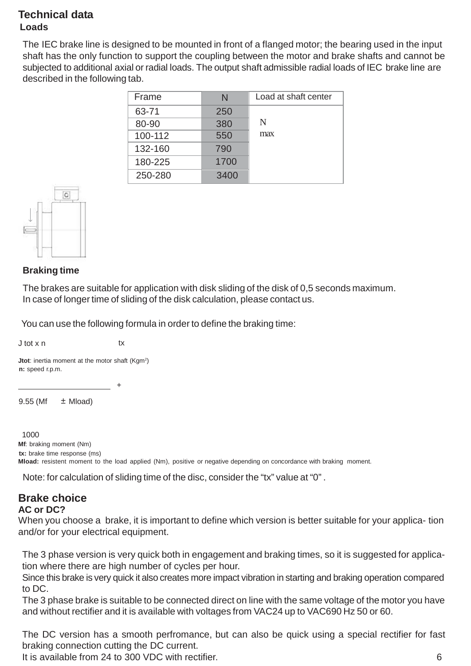## **Technical data Loads**

The IEC brake line is designed to be mounted in front of a flanged motor; the bearing used in the input shaft has the only function to support the coupling between the motor and brake shafts and cannot be subjected to additional axial or radial loads. The output shaft admissible radial loads of IEC brake line are described in the following tab.

| Frame   | N    | Load at shaft center |
|---------|------|----------------------|
| 63-71   | 250  |                      |
| 80-90   | 380  | N                    |
| 100-112 | 550  | max                  |
| 132-160 | 790  |                      |
| 180-225 | 1700 |                      |
| 250-280 | 3400 |                      |



#### **Braking time**

The brakes are suitable for application with disk sliding of the disk of 0,5 seconds maximum. In case of longer time of sliding of the disk calculation, please contact us.

You can use the following formula in order to define the braking time:

J tot x n tx

**Jtot**: inertia moment at the motor shaft (Kgm<sup>2</sup>) **n:** speed r.p.m.

 $9.55$  (Mf  $\pm$  Mload)

+

#### 1000

**Mf**: braking moment (Nm) **tx:** brake time response (ms) **Mload:** resistent moment to the load applied (Nm), positive or negative depending on concordance with braking moment.

Note: for calculation of sliding time of the disc, consider the "tx" value at "0" .

# **Brake choice**

#### **AC or DC?**

When you choose a brake, it is important to define which version is better suitable for your applica- tion and/or for your electrical equipment.

The 3 phase version is very quick both in engagement and braking times, so it is suggested for application where there are high number of cycles per hour.

Since this brake is very quick it also creates more impact vibration in starting and braking operation compared to DC.

The 3 phase brake is suitable to be connected direct on line with the same voltage of the motor you have and without rectifier and it is available with voltages from VAC24 up to VAC690 Hz 50 or 60.

The DC version has a smooth perfromance, but can also be quick using a special rectifier for fast braking connection cutting the DC current.

It is available from 24 to 300 VDC with rectifier. 6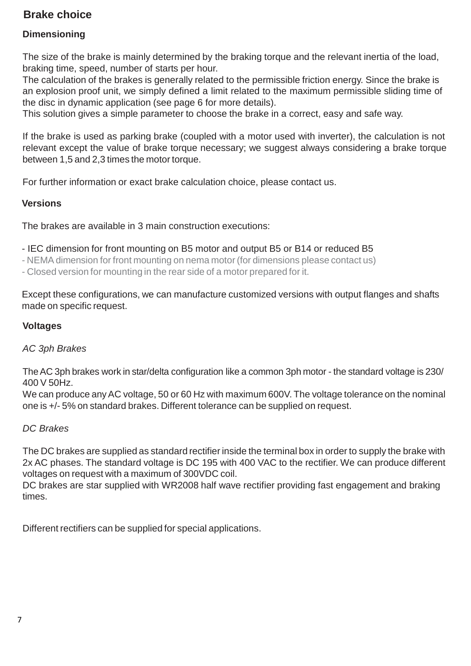# **Brake choice**

### **Dimensioning**

The size of the brake is mainly determined by the braking torque and the relevant inertia of the load, braking time, speed, number of starts per hour.

The calculation of the brakes is generally related to the permissible friction energy. Since the brake is an explosion proof unit, we simply defined a limit related to the maximum permissible sliding time of the disc in dynamic application (see page 6 for more details).

This solution gives a simple parameter to choose the brake in a correct, easy and safe way.

If the brake is used as parking brake (coupled with a motor used with inverter), the calculation is not relevant except the value of brake torque necessary; we suggest always considering a brake torque between 1,5 and 2,3 times the motor torque.

For further information or exact brake calculation choice, please contact us.

#### **Versions**

The brakes are available in 3 main construction executions:

- IEC dimension for front mounting on B5 motor and output B5 or B14 or reduced B5

- NEMA dimension for front mounting on nema motor (for dimensions please contact us)

- Closed version for mounting in the rear side of a motor prepared for it.

Except these configurations, we can manufacture customized versions with output flanges and shafts made on specific request.

#### **Voltages**

#### *AC 3ph Brakes*

TheAC 3ph brakes work in star/delta configuration like a common 3ph motor - the standard voltage is 230/ 400 V 50Hz.

We can produce any AC voltage, 50 or 60 Hz with maximum 600V. The voltage tolerance on the nominal one is +/- 5% on standard brakes. Different tolerance can be supplied on request.

#### *DC Brakes*

The DC brakes are supplied as standard rectifier inside the terminal box in order to supply the brake with 2x AC phases. The standard voltage is DC 195 with 400 VAC to the rectifier. We can produce different voltages on request with a maximum of 300VDC coil.

DC brakes are star supplied with WR2008 half wave rectifier providing fast engagement and braking times.

Different rectifiers can be supplied for special applications.